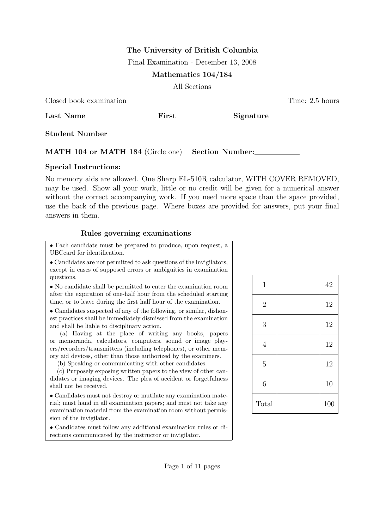# The University of British Columbia

Final Examination - December 13, 2008

Mathematics 104/184

All Sections

| Closed book examination                           | Time: 2.5 hours |
|---------------------------------------------------|-----------------|
|                                                   |                 |
| Student Number ________________                   |                 |
| MATH 104 or MATH 184 (Circle one) Section Number: |                 |

### Special Instructions:

No memory aids are allowed. One Sharp EL-510R calculator, WITH COVER REMOVED, may be used. Show all your work, little or no credit will be given for a numerical answer without the correct accompanying work. If you need more space than the space provided, use the back of the previous page. Where boxes are provided for answers, put your final answers in them.

## Rules governing examinations

• Each candidate must be prepared to produce, upon request, a UBCcard for identification.

• Candidates are not permitted to ask questions of the invigilators, except in cases of supposed errors or ambiguities in examination questions.

• No candidate shall be permitted to enter the examination room after the expiration of one-half hour from the scheduled starting time, or to leave during the first half hour of the examination.

• Candidates suspected of any of the following, or similar, dishonest practices shall be immediately dismissed from the examination and shall be liable to disciplinary action.

(a) Having at the place of writing any books, papers or memoranda, calculators, computers, sound or image players/recorders/transmitters (including telephones), or other memory aid devices, other than those authorized by the examiners.

(b) Speaking or communicating with other candidates.

(c) Purposely exposing written papers to the view of other candidates or imaging devices. The plea of accident or forgetfulness shall not be received.

• Candidates must not destroy or mutilate any examination material; must hand in all examination papers; and must not take any examination material from the examination room without permission of the invigilator.

• Candidates must follow any additional examination rules or directions communicated by the instructor or invigilator.

| $\mathbf{1}$   | 42  |
|----------------|-----|
| $\overline{2}$ | 12  |
| 3              | 12  |
| $\overline{4}$ | 12  |
| $\overline{5}$ | 12  |
| 6              | 10  |
| Total          | 100 |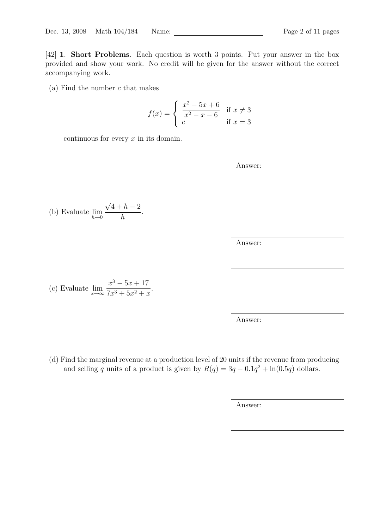[42] 1. Short Problems. Each question is worth 3 points. Put your answer in the box provided and show your work. No credit will be given for the answer without the correct accompanying work.

(a) Find the number  $c$  that makes

$$
f(x) = \begin{cases} \frac{x^2 - 5x + 6}{x^2 - x - 6} & \text{if } x \neq 3\\ c & \text{if } x = 3 \end{cases}
$$

continuous for every  $x$  in its domain.

Answer:

(b) Evaluate 
$$
\lim_{h \to 0} \frac{\sqrt{4+h} - 2}{h}.
$$

(c) Evaluate 
$$
\lim_{x \to \infty} \frac{x^3 - 5x + 17}{7x^3 + 5x^2 + x}
$$
.

Answer:

(d) Find the marginal revenue at a production level of 20 units if the revenue from producing and selling q units of a product is given by  $R(q) = 3q - 0.1q^2 + \ln(0.5q)$  dollars.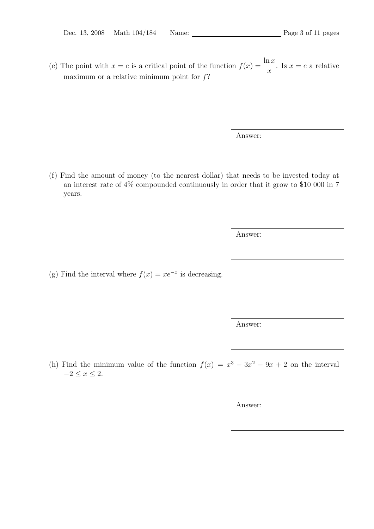(e) The point with  $x = e$  is a critical point of the function  $f(x) = \frac{\ln x}{x}$  $\overline{x}$ . Is  $x = e$  a relative maximum or a relative minimum point for  $f$ ?

Answer:

(f) Find the amount of money (to the nearest dollar) that needs to be invested today at an interest rate of 4% compounded continuously in order that it grow to \$10 000 in 7 years.

Answer:

(g) Find the interval where  $f(x) = xe^{-x}$  is decreasing.

Answer:

(h) Find the minimum value of the function  $f(x) = x^3 - 3x^2 - 9x + 2$  on the interval  $-2 \leq x \leq 2$ .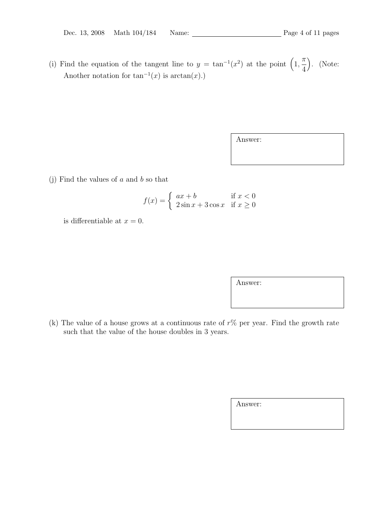(i) Find the equation of the tangent line to  $y = \tan^{-1}(x^2)$  at the point  $(1, 1)$  $\pi$ 4 . (Note: Another notation for  $tan^{-1}(x)$  is  $arctan(x)$ .

Answer:

(j) Find the values of  $a$  and  $b$  so that

$$
f(x) = \begin{cases} ax + b & \text{if } x < 0\\ 2\sin x + 3\cos x & \text{if } x \ge 0 \end{cases}
$$

is differentiable at  $x = 0$ .

Answer:

(k) The value of a house grows at a continuous rate of  $r\%$  per year. Find the growth rate such that the value of the house doubles in 3 years.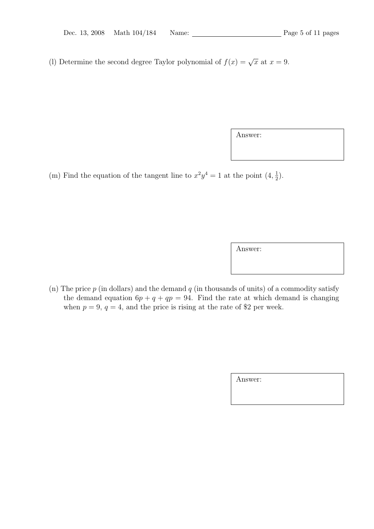(l) Determine the second degree Taylor polynomial of  $f(x) = \sqrt{x}$  at  $x = 9$ .

Answer:

(m) Find the equation of the tangent line to  $x^2y^4 = 1$  at the point  $(4, \frac{1}{2})$  $(\frac{1}{2})$ .

Answer:

(n) The price  $p$  (in dollars) and the demand  $q$  (in thousands of units) of a commodity satisfy the demand equation  $6p + q + qp = 94$ . Find the rate at which demand is changing when  $p = 9$ ,  $q = 4$ , and the price is rising at the rate of \$2 per week.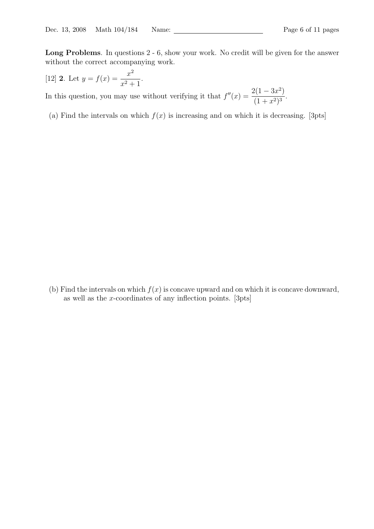Long Problems. In questions 2 - 6, show your work. No credit will be given for the answer without the correct accompanying work.

[12] **2**. Let 
$$
y = f(x) = \frac{x^2}{x^2 + 1}
$$
.

In this question, you may use without verifying it that  $f''(x) = \frac{2(1-3x^2)}{(1-x^2)^2}$  $\frac{2(x - 6x)}{(1 + x^2)^3}$ .

(a) Find the intervals on which  $f(x)$  is increasing and on which it is decreasing. [3pts]

(b) Find the intervals on which  $f(x)$  is concave upward and on which it is concave downward, as well as the x-coordinates of any inflection points. [3pts]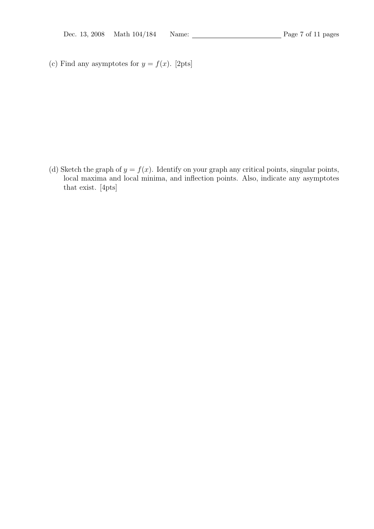(c) Find any asymptotes for  $y = f(x)$ . [2pts]

(d) Sketch the graph of  $y = f(x)$ . Identify on your graph any critical points, singular points, local maxima and local minima, and inflection points. Also, indicate any asymptotes that exist. [4pts]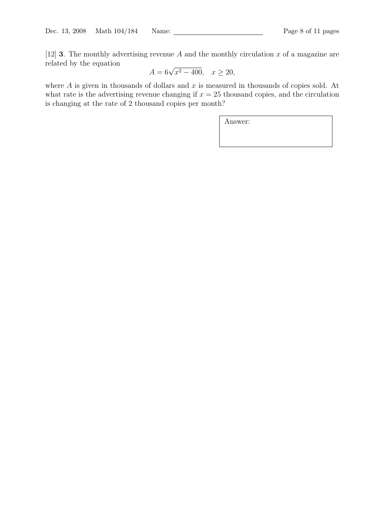[12] **3**. The monthly advertising revenue A and the monthly circulation x of a magazine are related by the equation

$$
A = 6\sqrt{x^2 - 400}, \quad x \ge 20,
$$

where  $A$  is given in thousands of dollars and  $x$  is measured in thousands of copies sold. At what rate is the advertising revenue changing if  $x = 25$  thousand copies, and the circulation is changing at the rate of 2 thousand copies per month?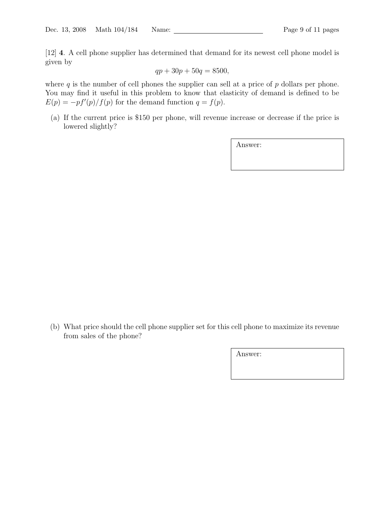[12] 4. A cell phone supplier has determined that demand for its newest cell phone model is given by

$$
qp + 30p + 50q = 8500,
$$

where  $q$  is the number of cell phones the supplier can sell at a price of  $p$  dollars per phone. You may find it useful in this problem to know that elasticity of demand is defined to be  $E(p) = -pf'(p)/f(p)$  for the demand function  $q = f(p)$ .

(a) If the current price is \$150 per phone, will revenue increase or decrease if the price is lowered slightly?

Answer:

(b) What price should the cell phone supplier set for this cell phone to maximize its revenue from sales of the phone?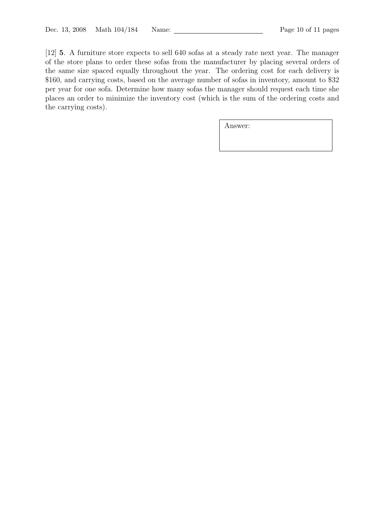[12] 5. A furniture store expects to sell 640 sofas at a steady rate next year. The manager of the store plans to order these sofas from the manufacturer by placing several orders of the same size spaced equally throughout the year. The ordering cost for each delivery is \$160, and carrying costs, based on the average number of sofas in inventory, amount to \$32 per year for one sofa. Determine how many sofas the manager should request each time she places an order to minimize the inventory cost (which is the sum of the ordering costs and the carrying costs).